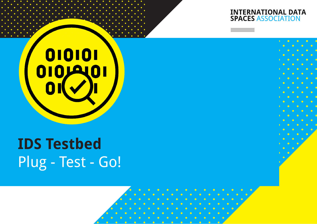## **INTERNATIONAL DATA<br>SPACES ASSOCIATION**



# **IDS Testbed** Plug - Test - Go!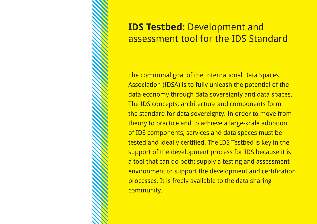

### **IDS Testbed:** Development and assessment tool for the IDS Standard

The communal goal of the International Data Spaces Association (IDSA) is to fully unleash the potential of the data economy through data sovereignty and data spaces. The IDS concepts, architecture and components form the standard for data sovereignty. In order to move from theory to practice and to achieve a large-scale adoption of IDS components, services and data spaces must be tested and ideally certified. The IDS Testbed is key in the support of the development process for IDS because it is a tool that can do both: supply a testing and assessment environment to support the development and certification processes. It is freely available to the data sharing community.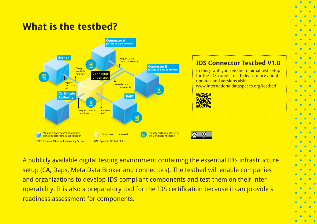### **What is the testbed?**



A publicly available digital testing environment containing the essential IDS infrastructure setup (CA, Daps, Meta Data Broker and connectors). The testbed will enable companies and organizations to develop IDS-compliant components and test them on their interoperability. It is also a preparatory tool for the IDS certification because it can provide a readiness assessment for components.

**IDS Connector Testbed V1.0** In this graph you see the minimal test setup for the IDS connector. To learn more about

[www.internationaldataspaces.org/testbed](https://internationaldataspaces.org/use/reference-testbed/)

updates and versions visit: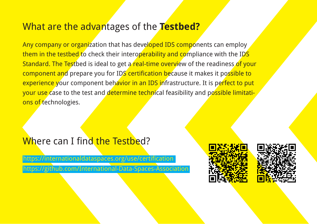### **What are the advan**tages of the **Testbed?**

<mark>component an</mark>d prepare you for ID<mark>S certification be</mark>cause it makes it possible to <mark>experience y</mark>our component beh<mark>avior in an IDS i</mark>nfrastructure. It is perfect to put <mark>your use c</mark>ase to the test and <mark>determine techni</mark>cal feasibility and possible limitati- $\mathcal{S}$ IBS. Concepts, architecture and components for  $\mathcal{S}$ assessment took for the Indian of IDS standards for a <mark>Any company or organ</mark>ization that has devel<mark>oped IDS compo</mark>nents can employ them in the testbed to check their interoperability and compliance with the IDS Standard. The Testbed is ideal to get a real-time overview of the readiness of your ons of technologies.

> standard for Data Sovereignty. In order to move from theory to practice and achieve a large-scale adoption of

#### IDS components, services and data spaces must be tested Where can I find the Testbed? The Test of the Test is one of the state of the keys in  $\mathbf{F}$

community.

[https://internationaldataspaces.org/use](https://internationaldataspaces.org/use/certification/)/certification <https://github.com/International-Data-Spaces-Association>